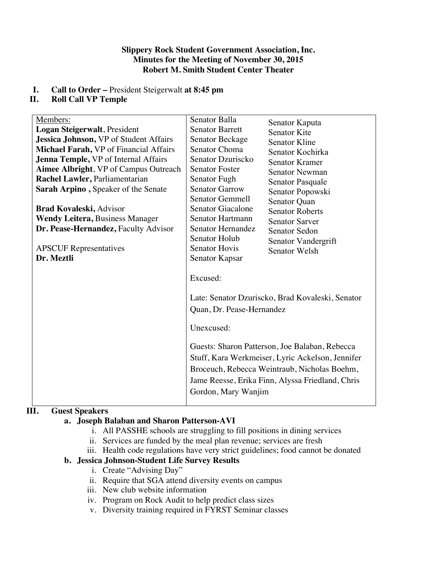#### **Slippery Rock Student Government Association, Inc. Minutes for the Meeting of November 30, 2015 Robert M. Smith Student Center Theater**

# **I. Call to Order –** President Steigerwalt **at 8:45 pm**

# **II. Roll Call VP Temple**

| Members:                                      | Senator Balla                                                              | Senator Kaputa                                                                                                                                                                                                                                             |
|-----------------------------------------------|----------------------------------------------------------------------------|------------------------------------------------------------------------------------------------------------------------------------------------------------------------------------------------------------------------------------------------------------|
| Logan Steigerwalt, President                  | <b>Senator Barrett</b>                                                     | <b>Senator Kite</b>                                                                                                                                                                                                                                        |
| Jessica Johnson, VP of Student Affairs        | <b>Senator Beckage</b>                                                     | <b>Senator Kline</b>                                                                                                                                                                                                                                       |
| <b>Michael Farah, VP</b> of Financial Affairs | Senator Choma                                                              | Senator Kochirka                                                                                                                                                                                                                                           |
| Jenna Temple, VP of Internal Affairs          | Senator Dzuriscko                                                          | <b>Senator Kramer</b>                                                                                                                                                                                                                                      |
| Aimee Albright, VP of Campus Outreach         | <b>Senator Foster</b>                                                      | Senator Newman                                                                                                                                                                                                                                             |
| Rachel Lawler, Parliamentarian                | Senator Fugh                                                               | Senator Pasquale                                                                                                                                                                                                                                           |
| Sarah Arpino, Speaker of the Senate           | <b>Senator Garrow</b>                                                      | Senator Popowski                                                                                                                                                                                                                                           |
|                                               | <b>Senator Gemmell</b>                                                     | Senator Quan                                                                                                                                                                                                                                               |
| <b>Brad Kovaleski, Advisor</b>                | Senator Giacalone                                                          | <b>Senator Roberts</b>                                                                                                                                                                                                                                     |
| <b>Wendy Leitera, Business Manager</b>        | Senator Hartmann                                                           | <b>Senator Sarver</b>                                                                                                                                                                                                                                      |
| Dr. Pease-Hernandez, Faculty Advisor          | Senator Hernandez                                                          | Senator Sedon                                                                                                                                                                                                                                              |
|                                               | <b>Senator Holub</b>                                                       | Senator Vandergrift                                                                                                                                                                                                                                        |
| <b>APSCUF</b> Representatives                 | <b>Senator Hovis</b>                                                       | Senator Welsh                                                                                                                                                                                                                                              |
| Dr. Meztli                                    | Senator Kapsar                                                             |                                                                                                                                                                                                                                                            |
|                                               | Excused:<br>Quan, Dr. Pease-Hernandez<br>Unexcused:<br>Gordon, Mary Wanjim | Late: Senator Dzuriscko, Brad Kovaleski, Senator<br>Guests: Sharon Patterson, Joe Balaban, Rebecca<br>Stuff, Kara Werkmeiser, Lyric Ackelson, Jennifer<br>Broceuch, Rebecca Weintraub, Nicholas Boehm,<br>Jame Reesse, Erika Finn, Alyssa Friedland, Chris |

# **III. Guest Speakers**

# **a. Joseph Balaban and Sharon Patterson-AVI**

- i. All PASSHE schools are struggling to fill positions in dining services
- ii. Services are funded by the meal plan revenue; services are fresh
- iii. Health code regulations have very strict guidelines; food cannot be donated

# **b. Jessica Johnson-Student Life Survey Results**

- i. Create "Advising Day"
- ii. Require that SGA attend diversity events on campus
- iii. New club website information
- iv. Program on Rock Audit to help predict class sizes
- v. Diversity training required in FYRST Seminar classes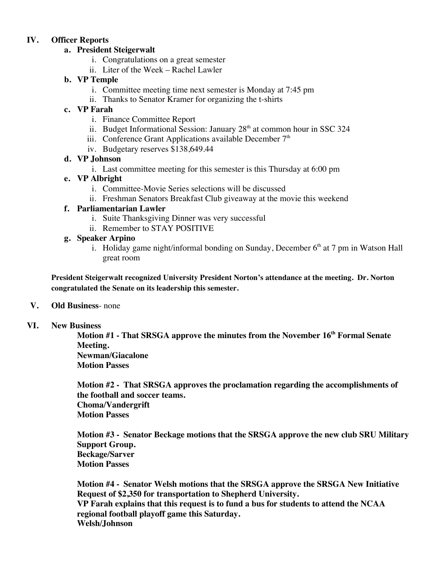## **IV. Officer Reports**

## **a. President Steigerwalt**

- i. Congratulations on a great semester
- ii. Liter of the Week Rachel Lawler

## **b. VP Temple**

- i. Committee meeting time next semester is Monday at 7:45 pm
- ii. Thanks to Senator Kramer for organizing the t-shirts

## **c. VP Farah**

- i. Finance Committee Report
- ii. Budget Informational Session: January  $28<sup>th</sup>$  at common hour in SSC 324
- iii. Conference Grant Applications available December  $7<sup>th</sup>$
- iv. Budgetary reserves \$138,649.44

## **d. VP Johnson**

i. Last committee meeting for this semester is this Thursday at 6:00 pm

## **e. VP Albright**

- i. Committee-Movie Series selections will be discussed
- ii. Freshman Senators Breakfast Club giveaway at the movie this weekend

## **f. Parliamentarian Lawler**

- i. Suite Thanksgiving Dinner was very successful
- ii. Remember to STAY POSITIVE

## **g. Speaker Arpino**

i. Holiday game night/informal bonding on Sunday, December  $6<sup>th</sup>$  at 7 pm in Watson Hall great room

**President Steigerwalt recognized University President Norton's attendance at the meeting. Dr. Norton congratulated the Senate on its leadership this semester.**

#### **V. Old Business**- none

#### **VI. New Business**

**Motion #1 - That SRSGA approve the minutes from the November 16th Formal Senate Meeting. Newman/Giacalone Motion Passes**

**Motion #2 - That SRSGA approves the proclamation regarding the accomplishments of the football and soccer teams. Choma/Vandergrift Motion Passes**

**Motion #3 - Senator Beckage motions that the SRSGA approve the new club SRU Military Support Group. Beckage/Sarver Motion Passes**

**Motion #4 - Senator Welsh motions that the SRSGA approve the SRSGA New Initiative Request of \$2,350 for transportation to Shepherd University. VP Farah explains that this request is to fund a bus for students to attend the NCAA regional football playoff game this Saturday. Welsh/Johnson**